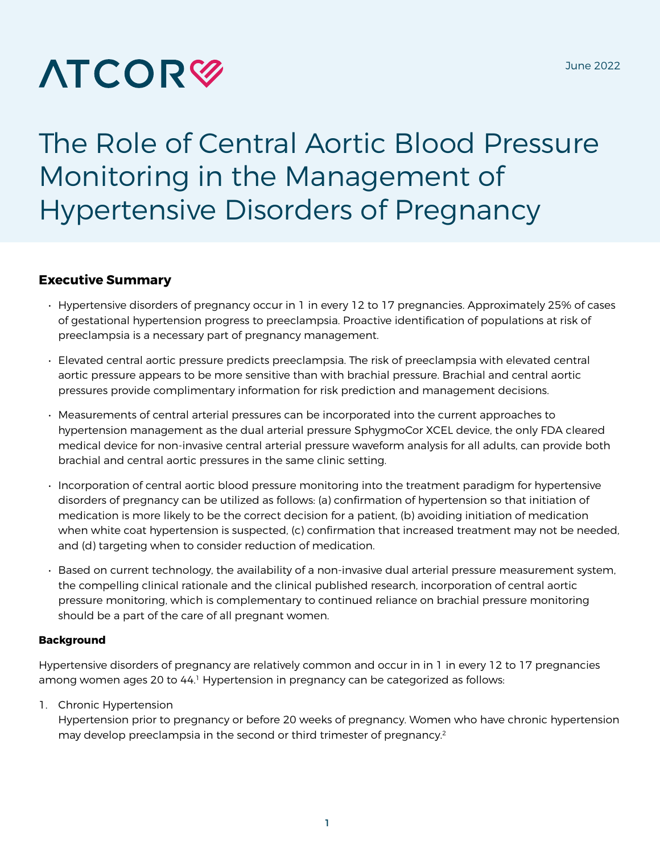# **ATCOR<sup>®</sup>**

# The Role of Central Aortic Blood Pressure Monitoring in the Management of Hypertensive Disorders of Pregnancy

# **Executive Summary**

- Hypertensive disorders of pregnancy occur in 1 in every 12 to 17 pregnancies. Approximately 25% of cases of gestational hypertension progress to preeclampsia. Proactive identification of populations at risk of preeclampsia is a necessary part of pregnancy management.
- Elevated central aortic pressure predicts preeclampsia. The risk of preeclampsia with elevated central aortic pressure appears to be more sensitive than with brachial pressure. Brachial and central aortic pressures provide complimentary information for risk prediction and management decisions.
- Measurements of central arterial pressures can be incorporated into the current approaches to hypertension management as the dual arterial pressure SphygmoCor XCEL device, the only FDA cleared medical device for non-invasive central arterial pressure waveform analysis for all adults, can provide both brachial and central aortic pressures in the same clinic setting.
- Incorporation of central aortic blood pressure monitoring into the treatment paradigm for hypertensive disorders of pregnancy can be utilized as follows: (a) confirmation of hypertension so that initiation of medication is more likely to be the correct decision for a patient, (b) avoiding initiation of medication when white coat hypertension is suspected, (c) confirmation that increased treatment may not be needed, and (d) targeting when to consider reduction of medication.
- Based on current technology, the availability of a non-invasive dual arterial pressure measurement system, the compelling clinical rationale and the clinical published research, incorporation of central aortic pressure monitoring, which is complementary to continued reliance on brachial pressure monitoring should be a part of the care of all pregnant women.

#### **Background**

Hypertensive disorders of pregnancy are relatively common and occur in in 1 in every 12 to 17 pregnancies among women ages 20 to 44.<sup>1</sup> Hypertension in pregnancy can be categorized as follows:

1. Chronic Hypertension

Hypertension prior to pregnancy or before 20 weeks of pregnancy. Women who have chronic hypertension may develop preeclampsia in the second or third trimester of pregnancy.<sup>2</sup>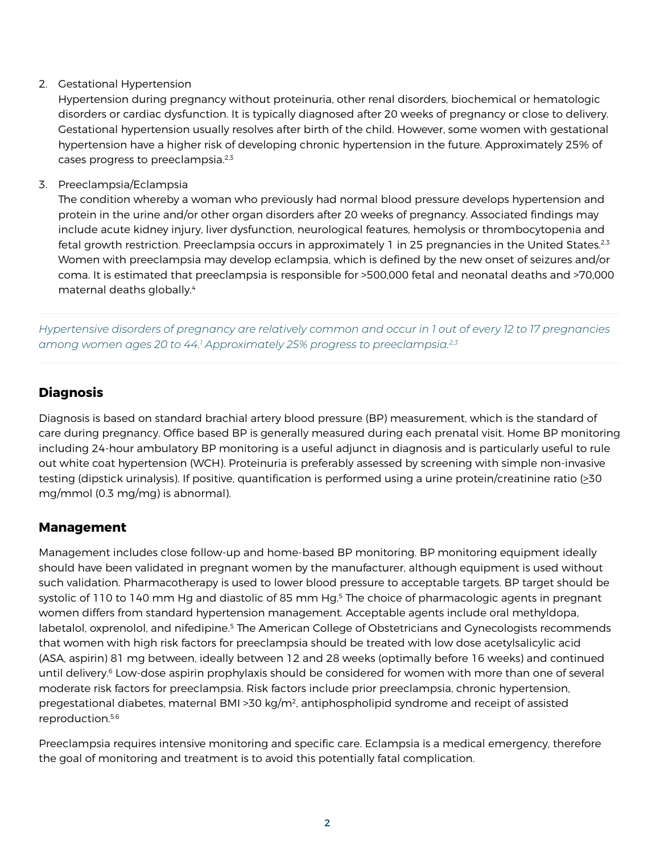2. Gestational Hypertension

Hypertension during pregnancy without proteinuria, other renal disorders, biochemical or hematologic disorders or cardiac dysfunction. It is typically diagnosed after 20 weeks of pregnancy or close to delivery. Gestational hypertension usually resolves after birth of the child. However, some women with gestational hypertension have a higher risk of developing chronic hypertension in the future. Approximately 25% of cases progress to preeclampsia.2,3

3. Preeclampsia/Eclampsia

The condition whereby a woman who previously had normal blood pressure develops hypertension and protein in the urine and/or other organ disorders after 20 weeks of pregnancy. Associated findings may include acute kidney injury, liver dysfunction, neurological features, hemolysis or thrombocytopenia and fetal growth restriction. Preeclampsia occurs in approximately 1 in 25 pregnancies in the United States.<sup>2,3</sup> Women with preeclampsia may develop eclampsia, which is defined by the new onset of seizures and/or coma. It is estimated that preeclampsia is responsible for >500,000 fetal and neonatal deaths and >70,000 maternal deaths globally.4

*Hypertensive disorders of pregnancy are relatively common and occur in 1 out of every 12 to 17 pregnancies among women ages 20 to 44.1 Approximately 25% progress to preeclampsia.2,3*

# **Diagnosis**

Diagnosis is based on standard brachial artery blood pressure (BP) measurement, which is the standard of care during pregnancy. Office based BP is generally measured during each prenatal visit. Home BP monitoring including 24-hour ambulatory BP monitoring is a useful adjunct in diagnosis and is particularly useful to rule out white coat hypertension (WCH). Proteinuria is preferably assessed by screening with simple non-invasive testing (dipstick urinalysis). If positive, quantification is performed using a urine protein/creatinine ratio (>30 mg/mmol (0.3 mg/mg) is abnormal).

# **Management**

Management includes close follow-up and home-based BP monitoring. BP monitoring equipment ideally should have been validated in pregnant women by the manufacturer, although equipment is used without such validation. Pharmacotherapy is used to lower blood pressure to acceptable targets. BP target should be systolic of 110 to 140 mm Hg and diastolic of 85 mm Hg.<sup>5</sup> The choice of pharmacologic agents in pregnant women differs from standard hypertension management. Acceptable agents include oral methyldopa, labetalol, oxprenolol, and nifedipine.<sup>5</sup> The American College of Obstetricians and Gynecologists recommends that women with high risk factors for preeclampsia should be treated with low dose acetylsalicylic acid (ASA, aspirin) 81 mg between, ideally between 12 and 28 weeks (optimally before 16 weeks) and continued until delivery.<sup>6</sup> Low-dose aspirin prophylaxis should be considered for women with more than one of several moderate risk factors for preeclampsia. Risk factors include prior preeclampsia, chronic hypertension, pregestational diabetes, maternal BMI >30 kg/m2, antiphospholipid syndrome and receipt of assisted reproduction.<sup>5,6</sup>

Preeclampsia requires intensive monitoring and specific care. Eclampsia is a medical emergency, therefore the goal of monitoring and treatment is to avoid this potentially fatal complication.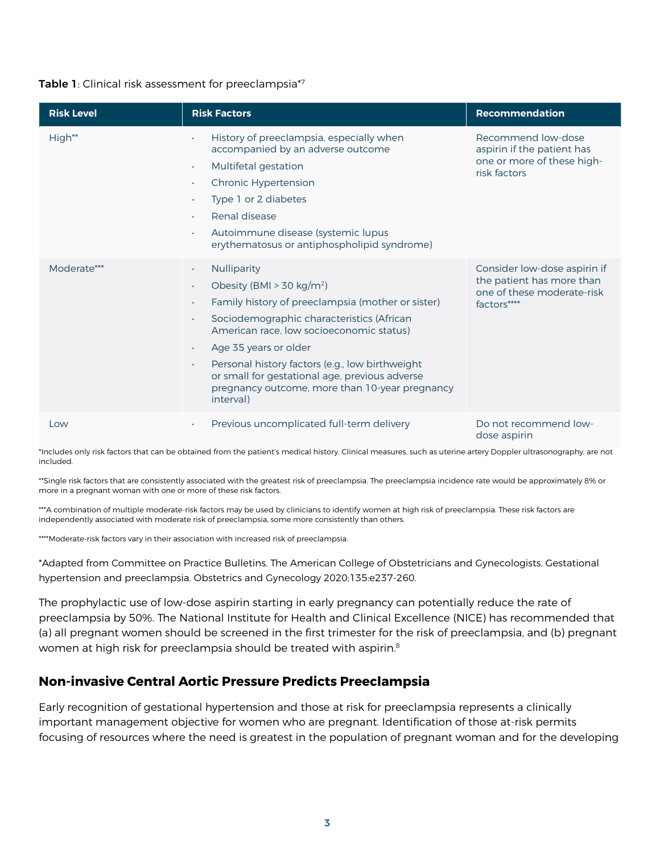#### Table 1: Clinical risk assessment for preeclampsia<sup>\*7</sup>

| <b>Risk Level</b> | <b>Risk Factors</b>                                                                                                                                                                                                                                                                                                                                                                                                                                                           | Recommendation                                                                                         |
|-------------------|-------------------------------------------------------------------------------------------------------------------------------------------------------------------------------------------------------------------------------------------------------------------------------------------------------------------------------------------------------------------------------------------------------------------------------------------------------------------------------|--------------------------------------------------------------------------------------------------------|
| High**            | History of preeclampsia, especially when<br>accompanied by an adverse outcome<br>Multifetal gestation<br>$\bullet$<br><b>Chronic Hypertension</b><br>$\bullet$<br>Type 1 or 2 diabetes<br>$\bullet$<br>Renal disease<br>$\bullet$<br>Autoimmune disease (systemic lupus<br>erythematosus or antiphospholipid syndrome)                                                                                                                                                        | Recommend low-dose<br>aspirin if the patient has<br>one or more of these high-<br>risk factors         |
| Moderate***       | Nulliparity<br>$\bullet$<br>Obesity (BMI > 30 kg/m <sup>2</sup> )<br>$\bullet$<br>Family history of preeclampsia (mother or sister)<br>$\bullet$<br>Sociodemographic characteristics (African<br>$\bullet$<br>American race, low socioeconomic status)<br>Age 35 years or older<br>$\bullet$<br>Personal history factors (e.g., low birthweight<br>$\bullet$<br>or small for gestational age, previous adverse<br>pregnancy outcome, more than 10-year pregnancy<br>interval) | Consider low-dose aspirin if<br>the patient has more than<br>one of these moderate-risk<br>factors**** |
| Low               | Previous uncomplicated full-term delivery<br>$\bullet$                                                                                                                                                                                                                                                                                                                                                                                                                        | Do not recommend low-<br>dose aspirin                                                                  |

\*Includes only risk factors that can be obtained from the patient's medical history. Clinical measures, such as uterine artery Doppler ultrasonography, are not included.

\*\*Single risk factors that are consistently associated with the greatest risk of preeclampsia. The preeclampsia incidence rate would be approximately 8% or more in a pregnant woman with one or more of these risk factors.

\*\*\*A combination of multiple moderate-risk factors may be used by clinicians to identify women at high risk of preeclampsia. These risk factors are independently associated with moderate risk of preeclampsia, some more consistently than others.

\*\*\*\*Moderate-risk factors vary in their association with increased risk of preeclampsia.

\*Adapted from Committee on Practice Bulletins. The American College of Obstetricians and Gynecologists. Gestational hypertension and preeclampsia. Obstetrics and Gynecology 2020;135:e237-260.

The prophylactic use of low-dose aspirin starting in early pregnancy can potentially reduce the rate of preeclampsia by 50%. The National Institute for Health and Clinical Excellence (NICE) has recommended that (a) all pregnant women should be screened in the first trimester for the risk of preeclampsia, and (b) pregnant women at high risk for preeclampsia should be treated with aspirin.<sup>8</sup>

## **Non-invasive Central Aortic Pressure Predicts Preeclampsia**

Early recognition of gestational hypertension and those at risk for preeclampsia represents a clinically important management objective for women who are pregnant. Identification of those at-risk permits focusing of resources where the need is greatest in the population of pregnant woman and for the developing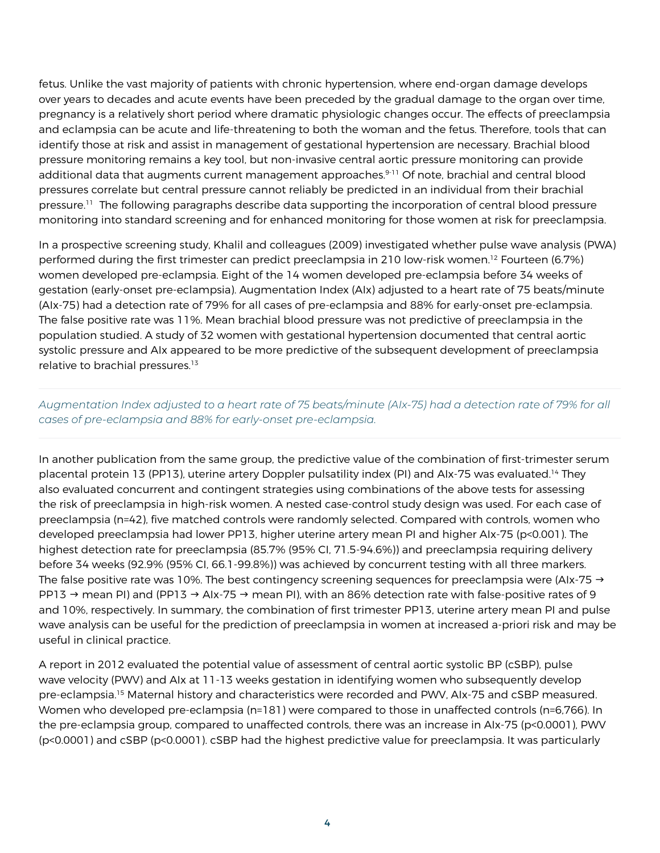fetus. Unlike the vast majority of patients with chronic hypertension, where end-organ damage develops over years to decades and acute events have been preceded by the gradual damage to the organ over time, pregnancy is a relatively short period where dramatic physiologic changes occur. The effects of preeclampsia and eclampsia can be acute and life-threatening to both the woman and the fetus. Therefore, tools that can identify those at risk and assist in management of gestational hypertension are necessary. Brachial blood pressure monitoring remains a key tool, but non-invasive central aortic pressure monitoring can provide additional data that augments current management approaches.<sup>9-11</sup> Of note, brachial and central blood pressures correlate but central pressure cannot reliably be predicted in an individual from their brachial pressure.<sup>11</sup> The following paragraphs describe data supporting the incorporation of central blood pressure monitoring into standard screening and for enhanced monitoring for those women at risk for preeclampsia.

In a prospective screening study, Khalil and colleagues (2009) investigated whether pulse wave analysis (PWA) performed during the first trimester can predict preeclampsia in 210 low-risk women.<sup>12</sup> Fourteen (6.7%) women developed pre-eclampsia. Eight of the 14 women developed pre-eclampsia before 34 weeks of gestation (early-onset pre-eclampsia). Augmentation Index (AIx) adjusted to a heart rate of 75 beats/minute (AIx-75) had a detection rate of 79% for all cases of pre-eclampsia and 88% for early-onset pre-eclampsia. The false positive rate was 11%. Mean brachial blood pressure was not predictive of preeclampsia in the population studied. A study of 32 women with gestational hypertension documented that central aortic systolic pressure and AIx appeared to be more predictive of the subsequent development of preeclampsia relative to brachial pressures.<sup>13</sup>

*Augmentation Index adjusted to a heart rate of 75 beats/minute (AIx-75) had a detection rate of 79% for all cases of pre-eclampsia and 88% for early-onset pre-eclampsia.* 

In another publication from the same group, the predictive value of the combination of first-trimester serum placental protein 13 (PP13), uterine artery Doppler pulsatility index (PI) and AIx-75 was evaluated.<sup>14</sup> They also evaluated concurrent and contingent strategies using combinations of the above tests for assessing the risk of preeclampsia in high-risk women. A nested case-control study design was used. For each case of preeclampsia (n=42), five matched controls were randomly selected. Compared with controls, women who developed preeclampsia had lower PP13, higher uterine artery mean PI and higher AIx-75 (p<0.001). The highest detection rate for preeclampsia (85.7% (95% Cl, 71.5-94.6%)) and preeclampsia requiring delivery before 34 weeks (92.9% (95% CI, 66.1-99.8%)) was achieved by concurrent testing with all three markers. The false positive rate was 10%. The best contingency screening sequences for preeclampsia were (AIx-75  $\rightarrow$ PP13  $\rightarrow$  mean PI) and (PP13  $\rightarrow$  AIx-75  $\rightarrow$  mean PI), with an 86% detection rate with false-positive rates of 9 and 10%, respectively. In summary, the combination of first trimester PP13, uterine artery mean PI and pulse wave analysis can be useful for the prediction of preeclampsia in women at increased a-priori risk and may be useful in clinical practice.

A report in 2012 evaluated the potential value of assessment of central aortic systolic BP (cSBP), pulse wave velocity (PWV) and AIx at 11-13 weeks gestation in identifying women who subsequently develop pre-eclampsia.15 Maternal history and characteristics were recorded and PWV, AIx-75 and cSBP measured. Women who developed pre-eclampsia (n=181) were compared to those in unaffected controls (n=6,766). In the pre-eclampsia group, compared to unaffected controls, there was an increase in AIx-75 (p<0.0001), PWV (p<0.0001) and cSBP (p<0.0001). cSBP had the highest predictive value for preeclampsia. It was particularly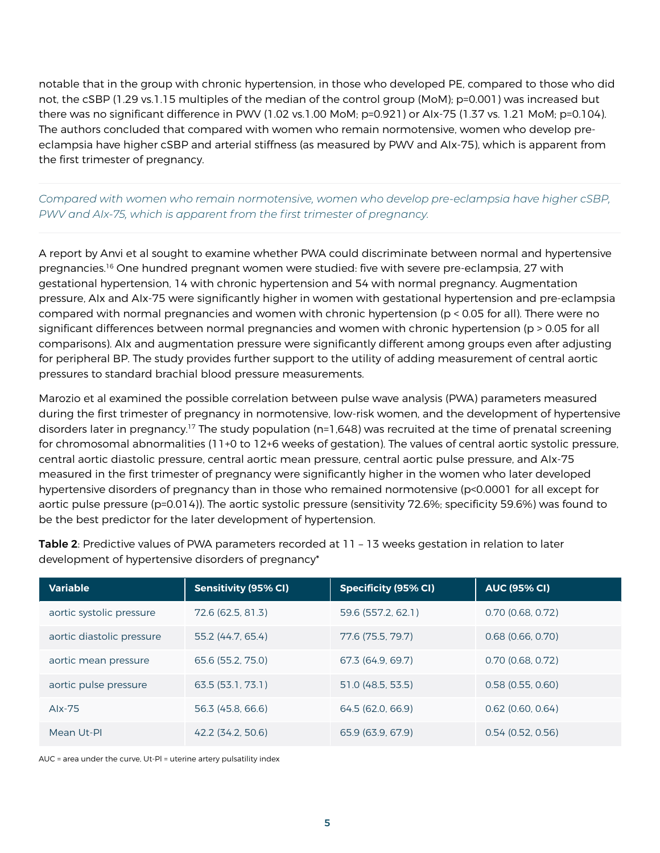notable that in the group with chronic hypertension, in those who developed PE, compared to those who did not, the cSBP (1.29 vs.1.15 multiples of the median of the control group (MoM); p=0.001) was increased but there was no significant difference in PWV (1.02 vs.1.00 MoM; p=0.921) or AIx-75 (1.37 vs. 1.21 MoM; p=0.104). The authors concluded that compared with women who remain normotensive, women who develop preeclampsia have higher cSBP and arterial stiffness (as measured by PWV and AIx-75), which is apparent from the first trimester of pregnancy.

# *Compared with women who remain normotensive, women who develop pre-eclampsia have higher cSBP, PWV and AIx-75, which is apparent from the first trimester of pregnancy.*

A report by Anvi et al sought to examine whether PWA could discriminate between normal and hypertensive pregnancies.16 One hundred pregnant women were studied: five with severe pre-eclampsia, 27 with gestational hypertension, 14 with chronic hypertension and 54 with normal pregnancy. Augmentation pressure, AIx and AIx-75 were significantly higher in women with gestational hypertension and pre-eclampsia compared with normal pregnancies and women with chronic hypertension (p < 0.05 for all). There were no significant differences between normal pregnancies and women with chronic hypertension (p > 0.05 for all comparisons). AIx and augmentation pressure were significantly different among groups even after adjusting for peripheral BP. The study provides further support to the utility of adding measurement of central aortic pressures to standard brachial blood pressure measurements.

Marozio et al examined the possible correlation between pulse wave analysis (PWA) parameters measured during the first trimester of pregnancy in normotensive, low-risk women, and the development of hypertensive disorders later in pregnancy.<sup>17</sup> The study population (n=1,648) was recruited at the time of prenatal screening for chromosomal abnormalities (11+0 to 12+6 weeks of gestation). The values of central aortic systolic pressure, central aortic diastolic pressure, central aortic mean pressure, central aortic pulse pressure, and AIx-75 measured in the first trimester of pregnancy were significantly higher in the women who later developed hypertensive disorders of pregnancy than in those who remained normotensive (p<0.0001 for all except for aortic pulse pressure (p=0.014)). The aortic systolic pressure (sensitivity 72.6%; specificity 59.6%) was found to be the best predictor for the later development of hypertension.

| <b>Variable</b>           | <b>Sensitivity (95% CI)</b> | <b>Specificity (95% CI)</b> | <b>AUC (95% CI)</b> |
|---------------------------|-----------------------------|-----------------------------|---------------------|
| aortic systolic pressure  | 72.6 (62.5, 81.3)           | 59.6 (557.2, 62.1)          | $0.70$ (0.68, 0.72) |
| aortic diastolic pressure | 55.2 (44.7, 65.4)           | 77.6 (75.5, 79.7)           | $0.68$ (0.66, 0.70) |
| aortic mean pressure      | 65.6 (55.2, 75.0)           | 67.3 (64.9, 69.7)           | $0.70$ (0.68, 0.72) |
| aortic pulse pressure     | 63.5(53.1, 73.1)            | 51.0 (48.5, 53.5)           | 0.58(0.55, 0.60)    |
| Alx-75                    | 56.3 (45.8, 66.6)           | 64.5 (62.0, 66.9)           | $0.62$ (0.60, 0.64) |
| Mean Ut-Pl                | 42.2 (34.2, 50.6)           | 65.9 (63.9, 67.9)           | 0.54(0.52, 0.56)    |

Table 2: Predictive values of PWA parameters recorded at 11 - 13 weeks gestation in relation to later development of hypertensive disorders of pregnancy\*

AUC = area under the curve, Ut-Pl = uterine artery pulsatility index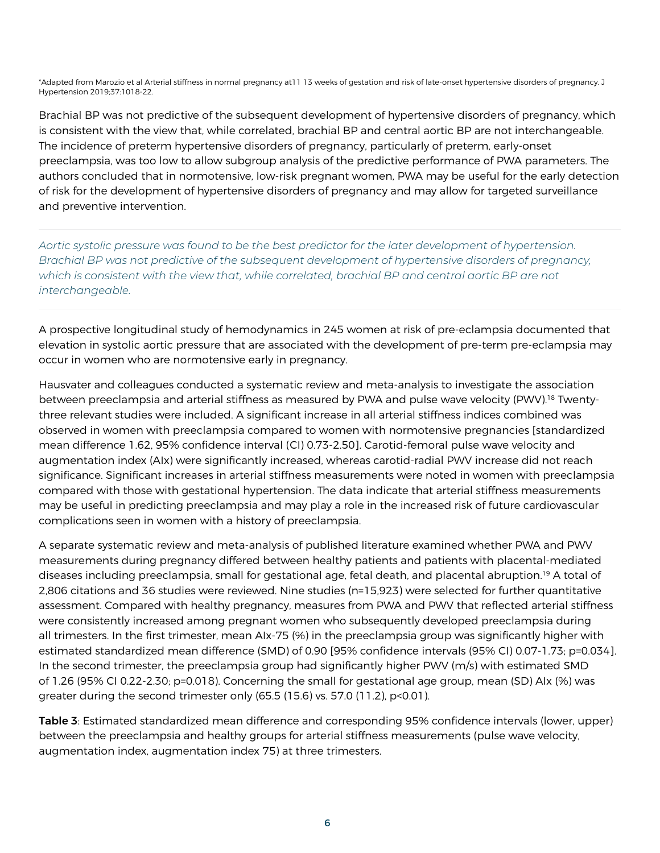\*Adapted from Marozio et al Arterial stiffness in normal pregnancy at11 13 weeks of gestation and risk of late-onset hypertensive disorders of pregnancy. J Hypertension 2019;37:1018-22.

Brachial BP was not predictive of the subsequent development of hypertensive disorders of pregnancy, which is consistent with the view that, while correlated, brachial BP and central aortic BP are not interchangeable. The incidence of preterm hypertensive disorders of pregnancy, particularly of preterm, early-onset preeclampsia, was too low to allow subgroup analysis of the predictive performance of PWA parameters. The authors concluded that in normotensive, low-risk pregnant women, PWA may be useful for the early detection of risk for the development of hypertensive disorders of pregnancy and may allow for targeted surveillance and preventive intervention.

*Aortic systolic pressure was found to be the best predictor for the later development of hypertension. Brachial BP was not predictive of the subsequent development of hypertensive disorders of pregnancy, which is consistent with the view that, while correlated, brachial BP and central aortic BP are not interchangeable.*

A prospective longitudinal study of hemodynamics in 245 women at risk of pre-eclampsia documented that elevation in systolic aortic pressure that are associated with the development of pre-term pre-eclampsia may occur in women who are normotensive early in pregnancy.

Hausvater and colleagues conducted a systematic review and meta-analysis to investigate the association between preeclampsia and arterial stiffness as measured by PWA and pulse wave velocity (PWV).<sup>18</sup> Twentythree relevant studies were included. A significant increase in all arterial stiffness indices combined was observed in women with preeclampsia compared to women with normotensive pregnancies [standardized mean difference 1.62, 95% confidence interval (CI) 0.73-2.50]. Carotid-femoral pulse wave velocity and augmentation index (AIx) were significantly increased, whereas carotid-radial PWV increase did not reach significance. Significant increases in arterial stiffness measurements were noted in women with preeclampsia compared with those with gestational hypertension. The data indicate that arterial stiffness measurements may be useful in predicting preeclampsia and may play a role in the increased risk of future cardiovascular complications seen in women with a history of preeclampsia.

A separate systematic review and meta-analysis of published literature examined whether PWA and PWV measurements during pregnancy differed between healthy patients and patients with placental-mediated diseases including preeclampsia, small for gestational age, fetal death, and placental abruption.19 A total of 2,806 citations and 36 studies were reviewed. Nine studies (n=15,923) were selected for further quantitative assessment. Compared with healthy pregnancy, measures from PWA and PWV that reflected arterial stiffness were consistently increased among pregnant women who subsequently developed preeclampsia during all trimesters. In the first trimester, mean AIx-75 (%) in the preeclampsia group was significantly higher with estimated standardized mean difference (SMD) of 0.90 [95% confidence intervals (95% CI) 0.07-1.73; p=0.034]. In the second trimester, the preeclampsia group had significantly higher PWV (m/s) with estimated SMD of 1.26 (95% CI 0.22-2.30; p=0.018). Concerning the small for gestational age group, mean (SD) AIx (%) was greater during the second trimester only (65.5 (15.6) vs. 57.0 (11.2), p<0.01).

Table 3: Estimated standardized mean difference and corresponding 95% confidence intervals (lower, upper) between the preeclampsia and healthy groups for arterial stiffness measurements (pulse wave velocity, augmentation index, augmentation index 75) at three trimesters.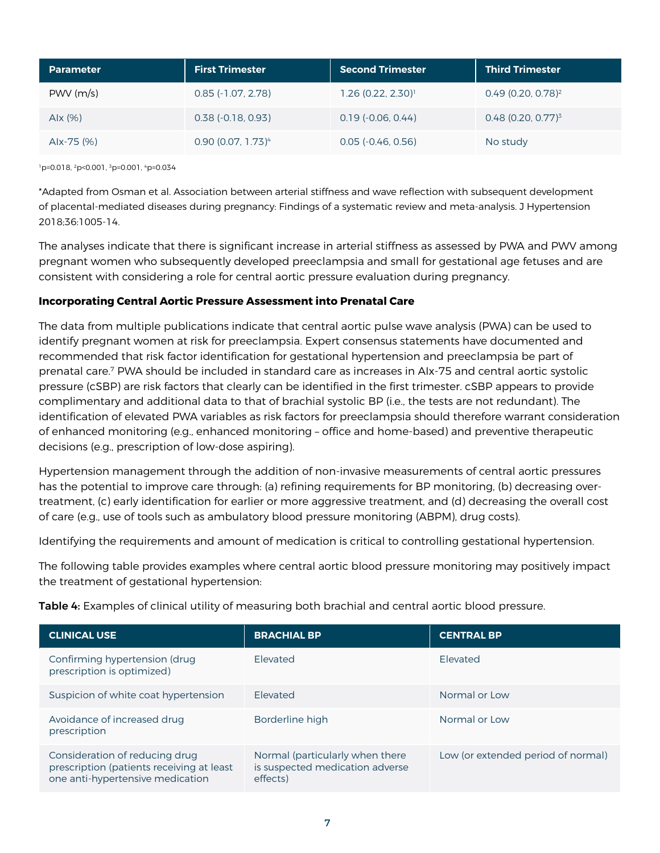| <b>Parameter</b> | <b>First Trimester</b>           | <b>Second Trimester</b>          | <b>Third Trimester</b>           |
|------------------|----------------------------------|----------------------------------|----------------------------------|
| PWV(m/s)         | $0.85$ ( $-1.07, 2.78$ )         | $1.26$ (0.22, 2.30) <sup>1</sup> | $0.49$ (0.20, 0.78) <sup>2</sup> |
| Alx $(% )$       | $0.38$ ( $-0.18$ , $0.93$ )      | $0.19$ ( $-0.06$ , $0.44$ )      | $0.48$ (0.20, 0.77) <sup>3</sup> |
| Alx-75 (%)       | $0.90$ (0.07, 1.73) <sup>4</sup> | $0.05$ ( $-0.46$ , $0.56$ )      | No study                         |

1p=0.018, 2p<0.001, 3p=0.001, 4p=0.034

\*Adapted from Osman et al. Association between arterial stiffness and wave reflection with subsequent development of placental-mediated diseases during pregnancy: Findings of a systematic review and meta-analysis. J Hypertension 2018;36:1005-14.

The analyses indicate that there is significant increase in arterial stiffness as assessed by PWA and PWV among pregnant women who subsequently developed preeclampsia and small for gestational age fetuses and are consistent with considering a role for central aortic pressure evaluation during pregnancy.

## **Incorporating Central Aortic Pressure Assessment into Prenatal Care**

The data from multiple publications indicate that central aortic pulse wave analysis (PWA) can be used to identify pregnant women at risk for preeclampsia. Expert consensus statements have documented and recommended that risk factor identification for gestational hypertension and preeclampsia be part of prenatal care.7 PWA should be included in standard care as increases in AIx-75 and central aortic systolic pressure (cSBP) are risk factors that clearly can be identified in the first trimester. cSBP appears to provide complimentary and additional data to that of brachial systolic BP (i.e., the tests are not redundant). The identification of elevated PWA variables as risk factors for preeclampsia should therefore warrant consideration of enhanced monitoring (e.g., enhanced monitoring – office and home-based) and preventive therapeutic decisions (e.g., prescription of low-dose aspiring).

Hypertension management through the addition of non-invasive measurements of central aortic pressures has the potential to improve care through: (a) refining requirements for BP monitoring, (b) decreasing overtreatment, (c) early identification for earlier or more aggressive treatment, and (d) decreasing the overall cost of care (e.g., use of tools such as ambulatory blood pressure monitoring (ABPM), drug costs).

Identifying the requirements and amount of medication is critical to controlling gestational hypertension.

The following table provides examples where central aortic blood pressure monitoring may positively impact the treatment of gestational hypertension:

Table 4: Examples of clinical utility of measuring both brachial and central aortic blood pressure.

| <b>CLINICAL USE</b>                                                                                             | <b>BRACHIAL BP</b>                                                             | <b>CENTRAL BP</b>                  |
|-----------------------------------------------------------------------------------------------------------------|--------------------------------------------------------------------------------|------------------------------------|
| Confirming hypertension (drug<br>prescription is optimized)                                                     | <b>Flevated</b>                                                                | Flevated                           |
| Suspicion of white coat hypertension                                                                            | <b>Flevated</b>                                                                | Normal or Low                      |
| Avoidance of increased drug<br>prescription                                                                     | Borderline high                                                                | Normal or Low                      |
| Consideration of reducing drug<br>prescription (patients receiving at least<br>one anti-hypertensive medication | Normal (particularly when there<br>is suspected medication adverse<br>effects) | Low (or extended period of normal) |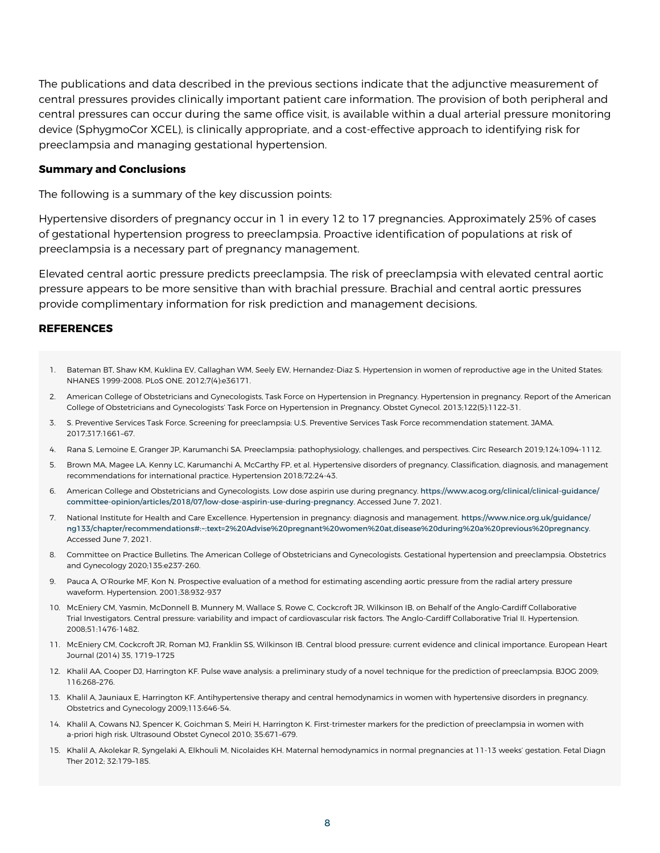The publications and data described in the previous sections indicate that the adjunctive measurement of central pressures provides clinically important patient care information. The provision of both peripheral and central pressures can occur during the same office visit, is available within a dual arterial pressure monitoring device (SphygmoCor XCEL), is clinically appropriate, and a cost-effective approach to identifying risk for preeclampsia and managing gestational hypertension.

#### **Summary and Conclusions**

The following is a summary of the key discussion points:

Hypertensive disorders of pregnancy occur in 1 in every 12 to 17 pregnancies. Approximately 25% of cases of gestational hypertension progress to preeclampsia. Proactive identification of populations at risk of preeclampsia is a necessary part of pregnancy management.

Elevated central aortic pressure predicts preeclampsia. The risk of preeclampsia with elevated central aortic pressure appears to be more sensitive than with brachial pressure. Brachial and central aortic pressures provide complimentary information for risk prediction and management decisions.

#### **REFERENCES**

- 1. Bateman BT, Shaw KM, Kuklina EV, Callaghan WM, Seely EW, Hernandez-Diaz S. Hypertension in women of reproductive age in the United States: NHANES 1999-2008. PLoS ONE. 2012;7(4):e36171.
- 2. American College of Obstetricians and Gynecologists, Task Force on Hypertension in Pregnancy. Hypertension in pregnancy. Report of the American College of Obstetricians and Gynecologists' Task Force on Hypertension in Pregnancy. Obstet Gynecol. 2013;122(5):1122–31.
- 3. S. Preventive Services Task Force. Screening for preeclampsia: U.S. Preventive Services Task Force recommendation statement. JAMA. 2017;317:1661–67.
- 4. Rana S, Lemoine E, Granger JP, Karumanchi SA. Preeclampsia: pathophysiology, challenges, and perspectives. Circ Research 2019;124:1094-1112.
- 5. Brown MA, Magee LA, Kenny LC, Karumanchi A, McCarthy FP, et al. Hypertensive disorders of pregnancy. Classification, diagnosis, and management recommendations for international practice. Hypertension 2018;72:24-43.
- 6. American College and Obstetricians and Gynecologists. Low dose aspirin use during pregnancy. https://www.acog.org/clinical/clinical-guidance/ committee-opinion/articles/2018/07/low-dose-aspirin-use-during-pregnancy. Accessed June 7, 2021.
- 7. National Institute for Health and Care Excellence. Hypertension in pregnancy: diagnosis and management. https://www.nice.org.uk/guidance/ ng133/chapter/recommendations#:~:text=2%20Advise%20pregnant%20women%20at,disease%20during%20a%20previous%20pregnancy. Accessed June 7, 2021.
- 8. Committee on Practice Bulletins. The American College of Obstetricians and Gynecologists. Gestational hypertension and preeclampsia. Obstetrics and Gynecology 2020;135:e237-260.
- 9. Pauca A, O'Rourke MF, Kon N. Prospective evaluation of a method for estimating ascending aortic pressure from the radial artery pressure waveform. Hypertension. 2001;38:932-937
- 10. McEniery CM, Yasmin, McDonnell B, Munnery M, Wallace S, Rowe C, Cockcroft JR, Wilkinson IB, on Behalf of the Anglo-Cardiff Collaborative Trial Investigators. Central pressure: variability and impact of cardiovascular risk factors. The Anglo-Cardiff Collaborative Trial II. Hypertension. 2008;51:1476-1482.
- 11. McEniery CM, Cockcroft JR, Roman MJ, Franklin SS, Wilkinson IB. Central blood pressure: current evidence and clinical importance. European Heart Journal (2014) 35, 1719–1725
- 12. Khalil AA, Cooper DJ, Harrington KF. Pulse wave analysis: a preliminary study of a novel technique for the prediction of preeclampsia. BJOG 2009; 116:268–276.
- 13. Khalil A, Jauniaux E, Harrington KF. Antihypertensive therapy and central hemodynamics in women with hypertensive disorders in pregnancy. Obstetrics and Gynecology 2009;113:646-54.
- 14. Khalil A, Cowans NJ, Spencer K, Goichman S, Meiri H, Harrington K. First-trimester markers for the prediction of preeclampsia in women with a-priori high risk. Ultrasound Obstet Gynecol 2010; 35:671–679.
- 15. Khalil A, Akolekar R, Syngelaki A, Elkhouli M, Nicolaides KH. Maternal hemodynamics in normal pregnancies at 11-13 weeks' gestation. Fetal Diagn Ther 2012; 32:179–185.